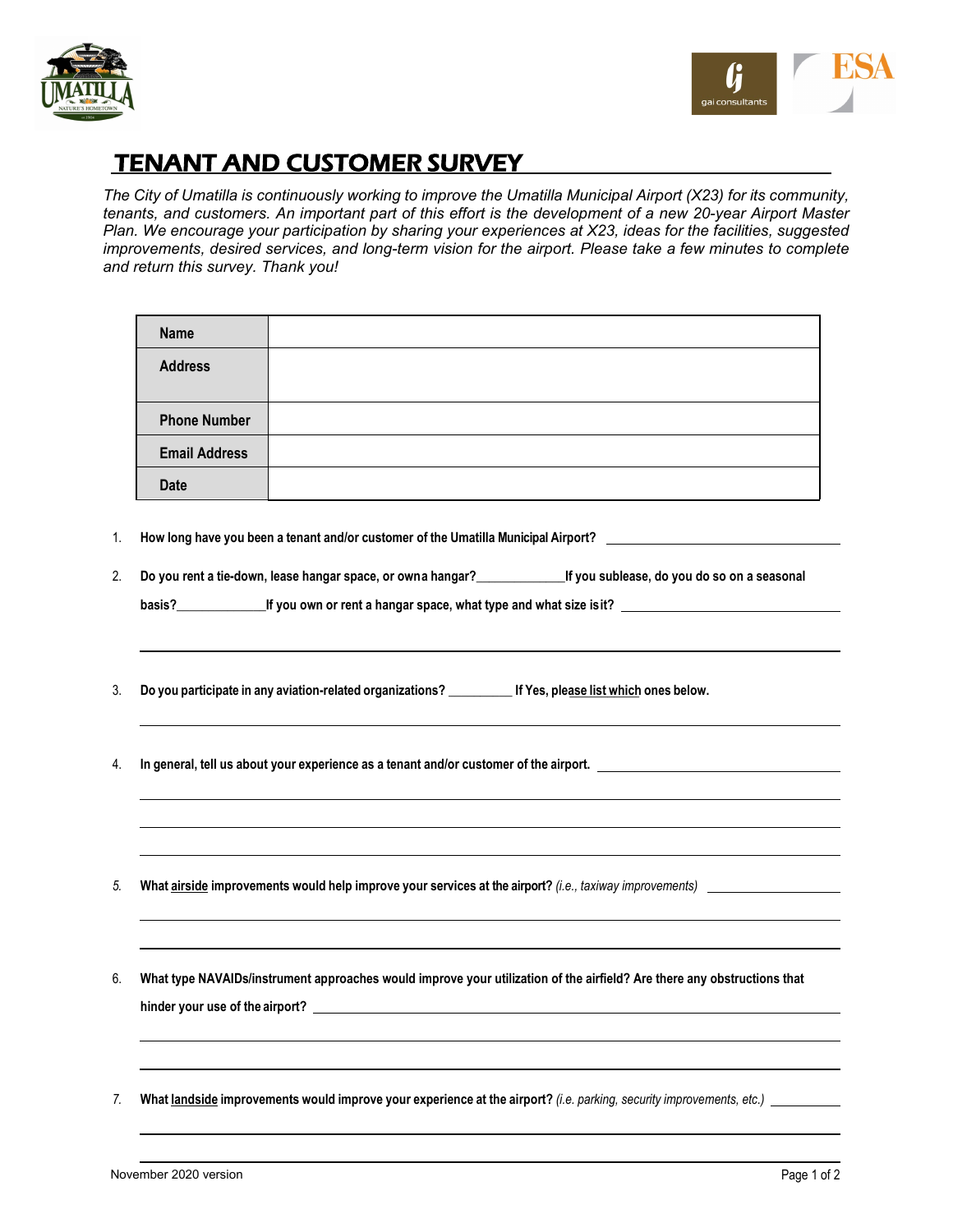



## TENANT AND CUSTOMER SURVEY

*The City of Umatilla is continuously working to improve the Umatilla Municipal Airport (X23) for its community, tenants, and customers. An important part of this effort is the development of a new 20-year Airport Master Plan. We encourage your participation by sharing your experiences at X23, ideas for the facilities, suggested improvements, desired services, and long-term vision for the airport. Please take a few minutes to complete and return this survey. Thank you!*

| <b>Name</b>          |                                                                                                                         |
|----------------------|-------------------------------------------------------------------------------------------------------------------------|
| <b>Address</b>       |                                                                                                                         |
| <b>Phone Number</b>  |                                                                                                                         |
| <b>Email Address</b> |                                                                                                                         |
| Date                 |                                                                                                                         |
|                      | How long have you been a tenant and/or customer of the Umatilla Municipal Airport? __________________________           |
|                      | Do you rent a tie-down, lease hangar space, or owna hangar?<br>Lif you sublease, do you do so on a seasonal             |
|                      | basis? <u>______________</u> If you own or rent a hangar space, what type and what size is it? ________________________ |
|                      |                                                                                                                         |
|                      |                                                                                                                         |
|                      | Do you participate in any aviation-related organizations? ___________ If Yes, please list which ones below.             |
|                      |                                                                                                                         |
|                      |                                                                                                                         |
|                      | In general, tell us about your experience as a tenant and/or customer of the airport. ________________________          |
|                      |                                                                                                                         |
|                      |                                                                                                                         |
|                      |                                                                                                                         |
|                      |                                                                                                                         |
|                      |                                                                                                                         |
|                      |                                                                                                                         |
|                      | What type NAVAIDs/instrument approaches would improve your utilization of the airfield? Are there any obstructions that |
|                      |                                                                                                                         |
|                      |                                                                                                                         |
|                      |                                                                                                                         |
|                      |                                                                                                                         |